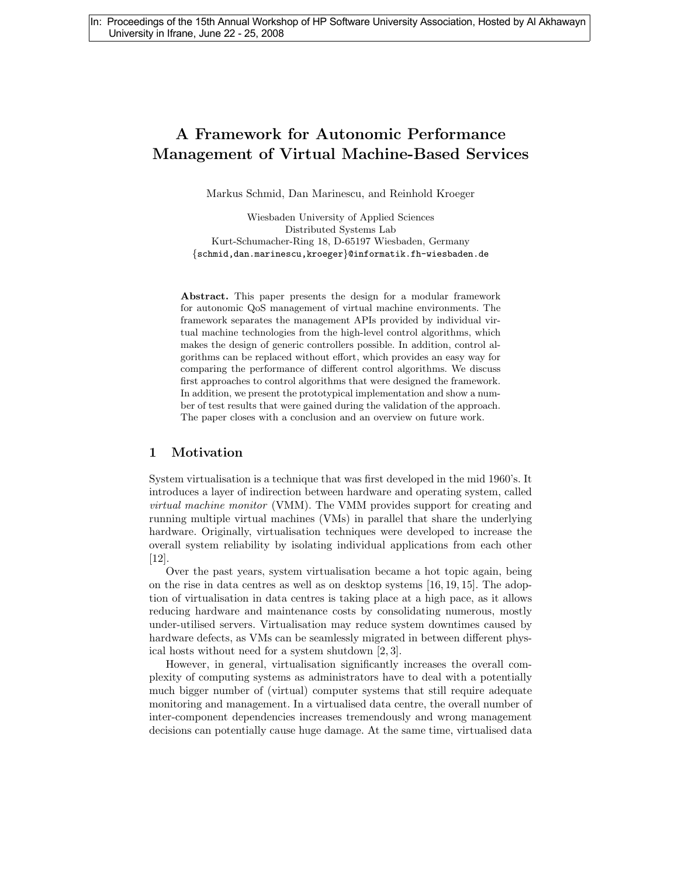# A Framework for Autonomic Performance Management of Virtual Machine-Based Services

Markus Schmid, Dan Marinescu, and Reinhold Kroeger

Wiesbaden University of Applied Sciences Distributed Systems Lab Kurt-Schumacher-Ring 18, D-65197 Wiesbaden, Germany {schmid,dan.marinescu,kroeger}@informatik.fh-wiesbaden.de

Abstract. This paper presents the design for a modular framework for autonomic QoS management of virtual machine environments. The framework separates the management APIs provided by individual virtual machine technologies from the high-level control algorithms, which makes the design of generic controllers possible. In addition, control algorithms can be replaced without effort, which provides an easy way for comparing the performance of different control algorithms. We discuss first approaches to control algorithms that were designed the framework. In addition, we present the prototypical implementation and show a number of test results that were gained during the validation of the approach. The paper closes with a conclusion and an overview on future work.

### 1 Motivation

System virtualisation is a technique that was first developed in the mid 1960's. It introduces a layer of indirection between hardware and operating system, called virtual machine monitor (VMM). The VMM provides support for creating and running multiple virtual machines (VMs) in parallel that share the underlying hardware. Originally, virtualisation techniques were developed to increase the overall system reliability by isolating individual applications from each other [12].

Over the past years, system virtualisation became a hot topic again, being on the rise in data centres as well as on desktop systems [16, 19, 15]. The adoption of virtualisation in data centres is taking place at a high pace, as it allows reducing hardware and maintenance costs by consolidating numerous, mostly under-utilised servers. Virtualisation may reduce system downtimes caused by hardware defects, as VMs can be seamlessly migrated in between different physical hosts without need for a system shutdown [2, 3].

However, in general, virtualisation significantly increases the overall complexity of computing systems as administrators have to deal with a potentially much bigger number of (virtual) computer systems that still require adequate monitoring and management. In a virtualised data centre, the overall number of inter-component dependencies increases tremendously and wrong management decisions can potentially cause huge damage. At the same time, virtualised data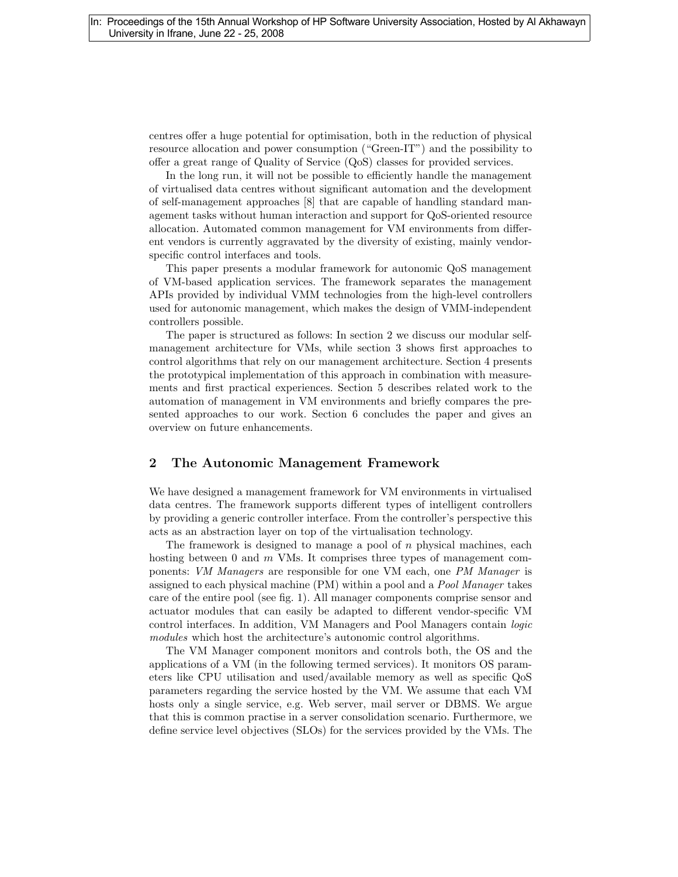centres offer a huge potential for optimisation, both in the reduction of physical resource allocation and power consumption ("Green-IT") and the possibility to offer a great range of Quality of Service (QoS) classes for provided services.

In the long run, it will not be possible to efficiently handle the management of virtualised data centres without significant automation and the development of self-management approaches [8] that are capable of handling standard management tasks without human interaction and support for QoS-oriented resource allocation. Automated common management for VM environments from different vendors is currently aggravated by the diversity of existing, mainly vendorspecific control interfaces and tools.

This paper presents a modular framework for autonomic QoS management of VM-based application services. The framework separates the management APIs provided by individual VMM technologies from the high-level controllers used for autonomic management, which makes the design of VMM-independent controllers possible.

The paper is structured as follows: In section 2 we discuss our modular selfmanagement architecture for VMs, while section 3 shows first approaches to control algorithms that rely on our management architecture. Section 4 presents the prototypical implementation of this approach in combination with measurements and first practical experiences. Section 5 describes related work to the automation of management in VM environments and briefly compares the presented approaches to our work. Section 6 concludes the paper and gives an overview on future enhancements.

### 2 The Autonomic Management Framework

We have designed a management framework for VM environments in virtualised data centres. The framework supports different types of intelligent controllers by providing a generic controller interface. From the controller's perspective this acts as an abstraction layer on top of the virtualisation technology.

The framework is designed to manage a pool of  $n$  physical machines, each hosting between 0 and  $m$  VMs. It comprises three types of management components: VM Managers are responsible for one VM each, one PM Manager is assigned to each physical machine (PM) within a pool and a Pool Manager takes care of the entire pool (see fig. 1). All manager components comprise sensor and actuator modules that can easily be adapted to different vendor-specific VM control interfaces. In addition, VM Managers and Pool Managers contain logic modules which host the architecture's autonomic control algorithms.

The VM Manager component monitors and controls both, the OS and the applications of a VM (in the following termed services). It monitors OS parameters like CPU utilisation and used/available memory as well as specific QoS parameters regarding the service hosted by the VM. We assume that each VM hosts only a single service, e.g. Web server, mail server or DBMS. We argue that this is common practise in a server consolidation scenario. Furthermore, we define service level objectives (SLOs) for the services provided by the VMs. The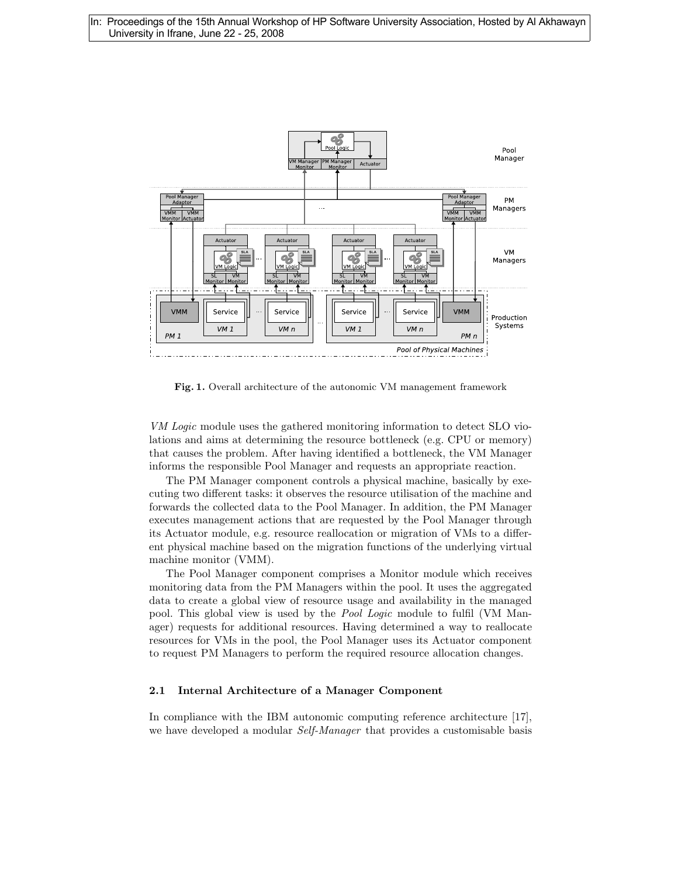

Fig. 1. Overall architecture of the autonomic VM management framework

VM Logic module uses the gathered monitoring information to detect SLO violations and aims at determining the resource bottleneck (e.g. CPU or memory) that causes the problem. After having identified a bottleneck, the VM Manager informs the responsible Pool Manager and requests an appropriate reaction.

The PM Manager component controls a physical machine, basically by executing two different tasks: it observes the resource utilisation of the machine and forwards the collected data to the Pool Manager. In addition, the PM Manager executes management actions that are requested by the Pool Manager through its Actuator module, e.g. resource reallocation or migration of VMs to a different physical machine based on the migration functions of the underlying virtual machine monitor (VMM).

The Pool Manager component comprises a Monitor module which receives monitoring data from the PM Managers within the pool. It uses the aggregated data to create a global view of resource usage and availability in the managed pool. This global view is used by the Pool Logic module to fulfil (VM Manager) requests for additional resources. Having determined a way to reallocate resources for VMs in the pool, the Pool Manager uses its Actuator component to request PM Managers to perform the required resource allocation changes.

### 2.1 Internal Architecture of a Manager Component

In compliance with the IBM autonomic computing reference architecture [17], we have developed a modular Self-Manager that provides a customisable basis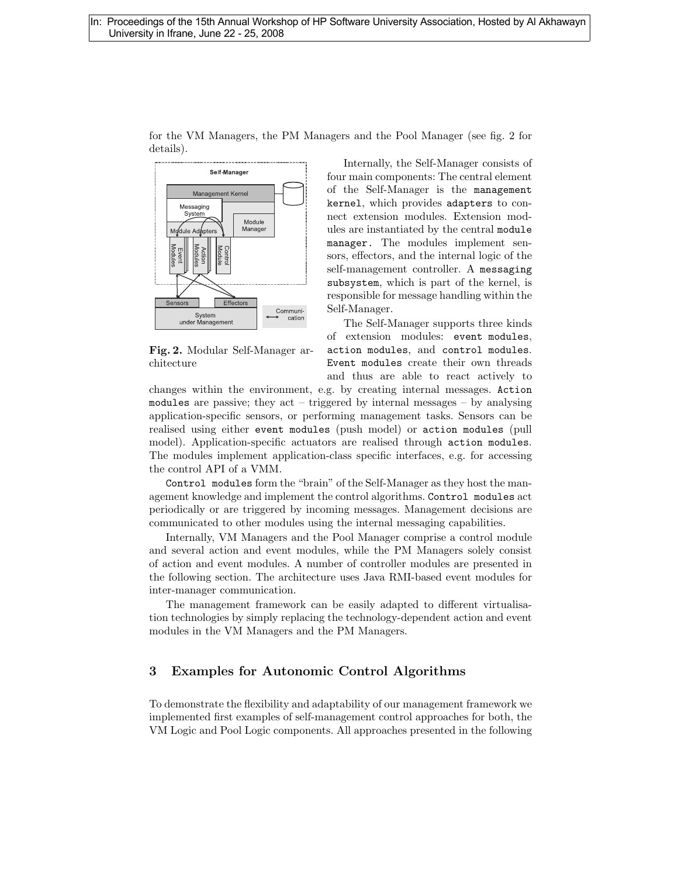

for the VM Managers, the PM Managers and the Pool Manager (see fig. 2 for details).

Fig. 2. Modular Self-Manager architecture

Internally, the Self-Manager consists of four main components: The central element of the Self-Manager is the management kernel, which provides adapters to connect extension modules. Extension modules are instantiated by the central module manager. The modules implement sensors, effectors, and the internal logic of the self-management controller. A messaging subsystem, which is part of the kernel, is responsible for message handling within the Self-Manager.

The Self-Manager supports three kinds of extension modules: event modules, action modules, and control modules. Event modules create their own threads and thus are able to react actively to

changes within the environment, e.g. by creating internal messages. Action modules are passive; they act – triggered by internal messages – by analysing application-specific sensors, or performing management tasks. Sensors can be realised using either event modules (push model) or action modules (pull model). Application-specific actuators are realised through action modules. The modules implement application-class specific interfaces, e.g. for accessing the control API of a VMM.

Control modules form the "brain" of the Self-Manager as they host the management knowledge and implement the control algorithms. Control modules act periodically or are triggered by incoming messages. Management decisions are communicated to other modules using the internal messaging capabilities.

Internally, VM Managers and the Pool Manager comprise a control module and several action and event modules, while the PM Managers solely consist of action and event modules. A number of controller modules are presented in the following section. The architecture uses Java RMI-based event modules for inter-manager communication.

The management framework can be easily adapted to different virtualisation technologies by simply replacing the technology-dependent action and event modules in the VM Managers and the PM Managers.

## 3 Examples for Autonomic Control Algorithms

To demonstrate the flexibility and adaptability of our management framework we implemented first examples of self-management control approaches for both, the VM Logic and Pool Logic components. All approaches presented in the following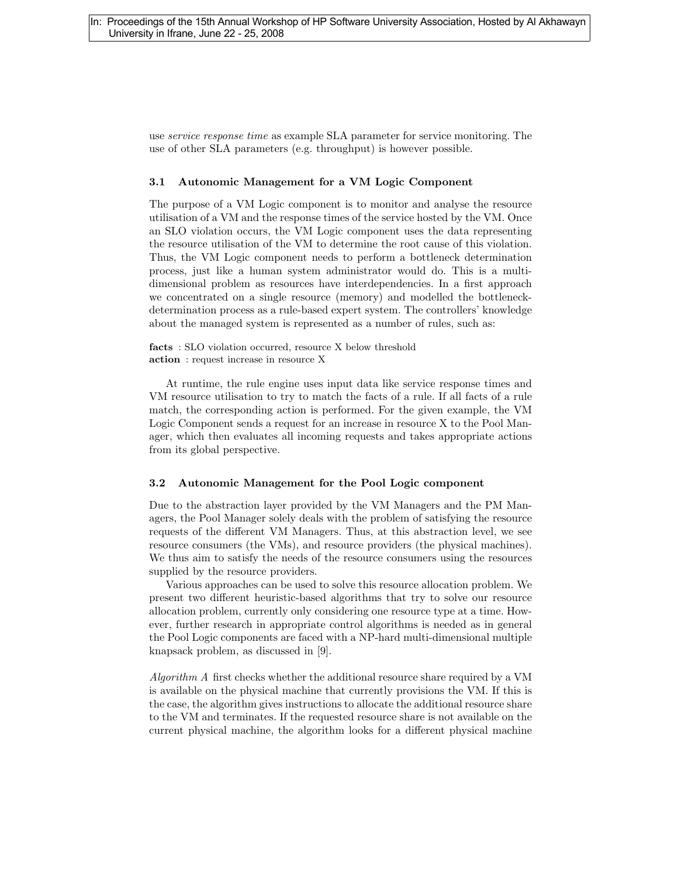use service response time as example SLA parameter for service monitoring. The use of other SLA parameters (e.g. throughput) is however possible.

#### 3.1 Autonomic Management for a VM Logic Component

The purpose of a VM Logic component is to monitor and analyse the resource utilisation of a VM and the response times of the service hosted by the VM. Once an SLO violation occurs, the VM Logic component uses the data representing the resource utilisation of the VM to determine the root cause of this violation. Thus, the VM Logic component needs to perform a bottleneck determination process, just like a human system administrator would do. This is a multidimensional problem as resources have interdependencies. In a first approach we concentrated on a single resource (memory) and modelled the bottleneckdetermination process as a rule-based expert system. The controllers' knowledge about the managed system is represented as a number of rules, such as:

facts : SLO violation occurred, resource X below threshold action : request increase in resource X

At runtime, the rule engine uses input data like service response times and VM resource utilisation to try to match the facts of a rule. If all facts of a rule match, the corresponding action is performed. For the given example, the VM Logic Component sends a request for an increase in resource X to the Pool Manager, which then evaluates all incoming requests and takes appropriate actions from its global perspective.

#### 3.2 Autonomic Management for the Pool Logic component

Due to the abstraction layer provided by the VM Managers and the PM Managers, the Pool Manager solely deals with the problem of satisfying the resource requests of the different VM Managers. Thus, at this abstraction level, we see resource consumers (the VMs), and resource providers (the physical machines). We thus aim to satisfy the needs of the resource consumers using the resources supplied by the resource providers.

Various approaches can be used to solve this resource allocation problem. We present two different heuristic-based algorithms that try to solve our resource allocation problem, currently only considering one resource type at a time. However, further research in appropriate control algorithms is needed as in general the Pool Logic components are faced with a NP-hard multi-dimensional multiple knapsack problem, as discussed in [9].

Algorithm A first checks whether the additional resource share required by a VM is available on the physical machine that currently provisions the VM. If this is the case, the algorithm gives instructions to allocate the additional resource share to the VM and terminates. If the requested resource share is not available on the current physical machine, the algorithm looks for a different physical machine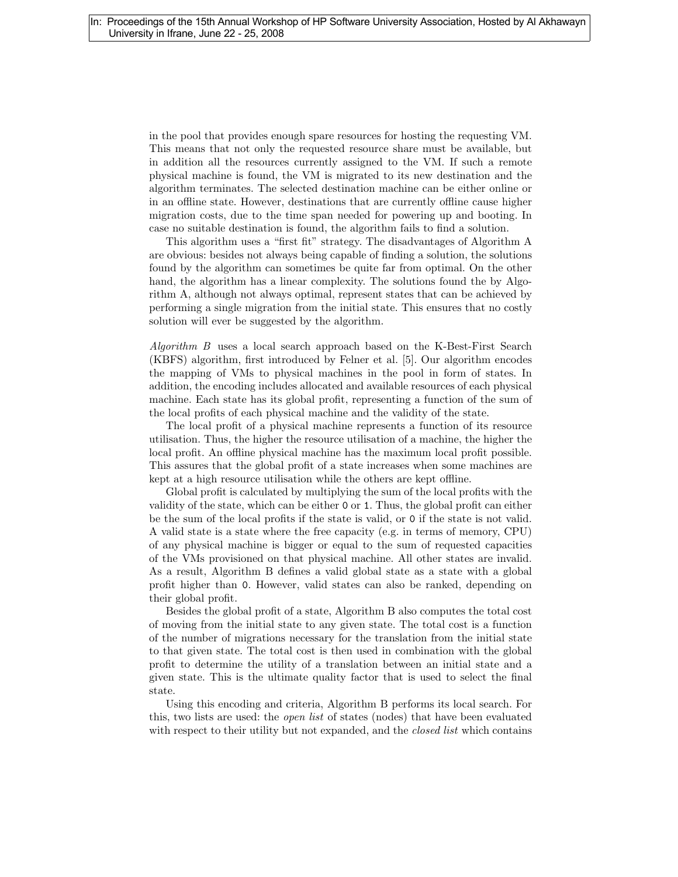in the pool that provides enough spare resources for hosting the requesting VM. This means that not only the requested resource share must be available, but in addition all the resources currently assigned to the VM. If such a remote physical machine is found, the VM is migrated to its new destination and the algorithm terminates. The selected destination machine can be either online or in an offline state. However, destinations that are currently offline cause higher migration costs, due to the time span needed for powering up and booting. In case no suitable destination is found, the algorithm fails to find a solution.

This algorithm uses a "first fit" strategy. The disadvantages of Algorithm A are obvious: besides not always being capable of finding a solution, the solutions found by the algorithm can sometimes be quite far from optimal. On the other hand, the algorithm has a linear complexity. The solutions found the by Algorithm A, although not always optimal, represent states that can be achieved by performing a single migration from the initial state. This ensures that no costly solution will ever be suggested by the algorithm.

Algorithm B uses a local search approach based on the K-Best-First Search (KBFS) algorithm, first introduced by Felner et al. [5]. Our algorithm encodes the mapping of VMs to physical machines in the pool in form of states. In addition, the encoding includes allocated and available resources of each physical machine. Each state has its global profit, representing a function of the sum of the local profits of each physical machine and the validity of the state.

The local profit of a physical machine represents a function of its resource utilisation. Thus, the higher the resource utilisation of a machine, the higher the local profit. An offline physical machine has the maximum local profit possible. This assures that the global profit of a state increases when some machines are kept at a high resource utilisation while the others are kept offline.

Global profit is calculated by multiplying the sum of the local profits with the validity of the state, which can be either 0 or 1. Thus, the global profit can either be the sum of the local profits if the state is valid, or 0 if the state is not valid. A valid state is a state where the free capacity (e.g. in terms of memory, CPU) of any physical machine is bigger or equal to the sum of requested capacities of the VMs provisioned on that physical machine. All other states are invalid. As a result, Algorithm B defines a valid global state as a state with a global profit higher than 0. However, valid states can also be ranked, depending on their global profit.

Besides the global profit of a state, Algorithm B also computes the total cost of moving from the initial state to any given state. The total cost is a function of the number of migrations necessary for the translation from the initial state to that given state. The total cost is then used in combination with the global profit to determine the utility of a translation between an initial state and a given state. This is the ultimate quality factor that is used to select the final state.

Using this encoding and criteria, Algorithm B performs its local search. For this, two lists are used: the open list of states (nodes) that have been evaluated with respect to their utility but not expanded, and the *closed list* which contains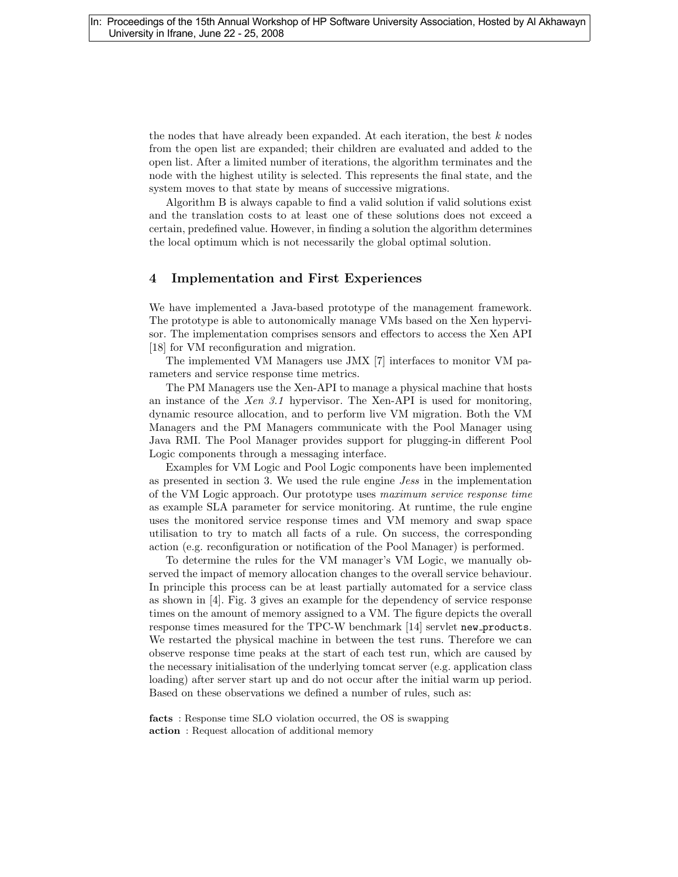the nodes that have already been expanded. At each iteration, the best  $k$  nodes from the open list are expanded; their children are evaluated and added to the open list. After a limited number of iterations, the algorithm terminates and the node with the highest utility is selected. This represents the final state, and the system moves to that state by means of successive migrations.

Algorithm B is always capable to find a valid solution if valid solutions exist and the translation costs to at least one of these solutions does not exceed a certain, predefined value. However, in finding a solution the algorithm determines the local optimum which is not necessarily the global optimal solution.

### 4 Implementation and First Experiences

We have implemented a Java-based prototype of the management framework. The prototype is able to autonomically manage VMs based on the Xen hypervisor. The implementation comprises sensors and effectors to access the Xen API [18] for VM reconfiguration and migration.

The implemented VM Managers use JMX [7] interfaces to monitor VM parameters and service response time metrics.

The PM Managers use the Xen-API to manage a physical machine that hosts an instance of the Xen 3.1 hypervisor. The Xen-API is used for monitoring, dynamic resource allocation, and to perform live VM migration. Both the VM Managers and the PM Managers communicate with the Pool Manager using Java RMI. The Pool Manager provides support for plugging-in different Pool Logic components through a messaging interface.

Examples for VM Logic and Pool Logic components have been implemented as presented in section 3. We used the rule engine Jess in the implementation of the VM Logic approach. Our prototype uses maximum service response time as example SLA parameter for service monitoring. At runtime, the rule engine uses the monitored service response times and VM memory and swap space utilisation to try to match all facts of a rule. On success, the corresponding action (e.g. reconfiguration or notification of the Pool Manager) is performed.

To determine the rules for the VM manager's VM Logic, we manually observed the impact of memory allocation changes to the overall service behaviour. In principle this process can be at least partially automated for a service class as shown in [4]. Fig. 3 gives an example for the dependency of service response times on the amount of memory assigned to a VM. The figure depicts the overall response times measured for the TPC-W benchmark [14] servlet new products. We restarted the physical machine in between the test runs. Therefore we can observe response time peaks at the start of each test run, which are caused by the necessary initialisation of the underlying tomcat server (e.g. application class loading) after server start up and do not occur after the initial warm up period. Based on these observations we defined a number of rules, such as:

facts : Response time SLO violation occurred, the OS is swapping action : Request allocation of additional memory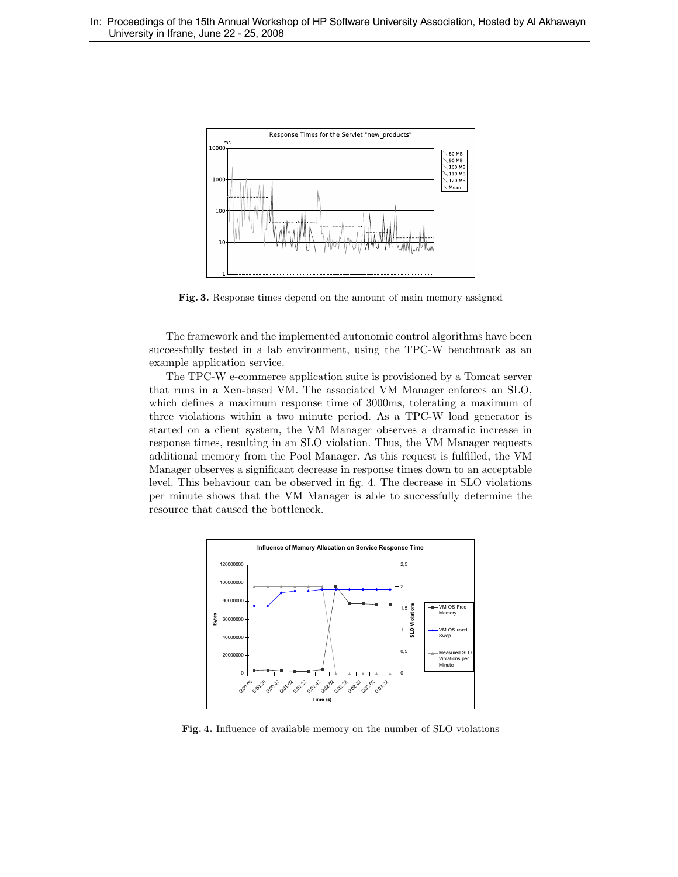

Fig. 3. Response times depend on the amount of main memory assigned

The framework and the implemented autonomic control algorithms have been successfully tested in a lab environment, using the TPC-W benchmark as an example application service.

The TPC-W e-commerce application suite is provisioned by a Tomcat server that runs in a Xen-based VM. The associated VM Manager enforces an SLO, which defines a maximum response time of 3000ms, tolerating a maximum of three violations within a two minute period. As a TPC-W load generator is started on a client system, the VM Manager observes a dramatic increase in response times, resulting in an SLO violation. Thus, the VM Manager requests additional memory from the Pool Manager. As this request is fulfilled, the VM Manager observes a significant decrease in response times down to an acceptable level. This behaviour can be observed in fig. 4. The decrease in SLO violations per minute shows that the VM Manager is able to successfully determine the resource that caused the bottleneck.



Fig. 4. Influence of available memory on the number of SLO violations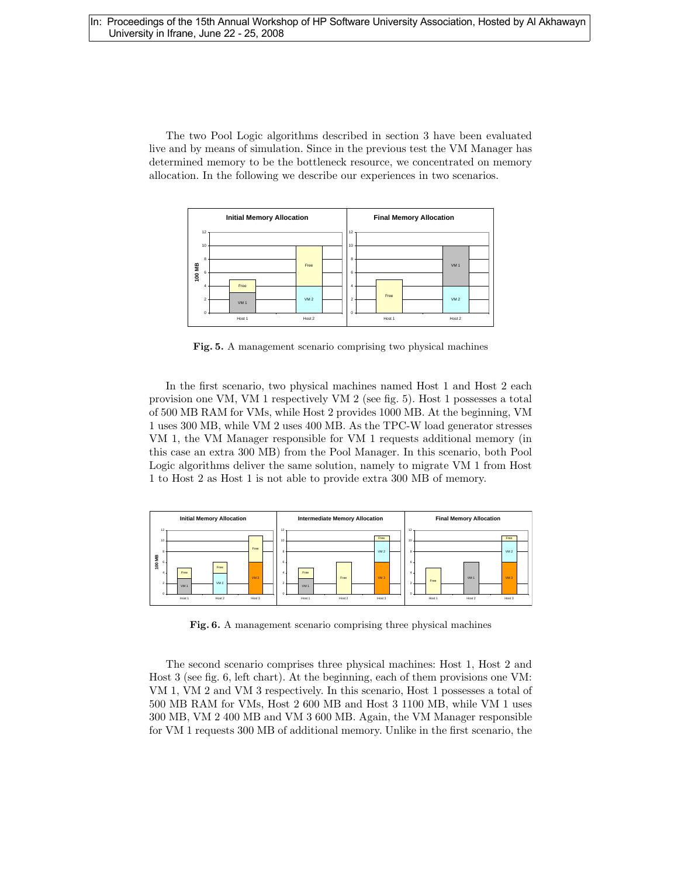The two Pool Logic algorithms described in section 3 have been evaluated live and by means of simulation. Since in the previous test the VM Manager has determined memory to be the bottleneck resource, we concentrated on memory allocation. In the following we describe our experiences in two scenarios.



Fig. 5. A management scenario comprising two physical machines

In the first scenario, two physical machines named Host 1 and Host 2 each provision one VM, VM 1 respectively VM 2 (see fig. 5). Host 1 possesses a total of 500 MB RAM for VMs, while Host 2 provides 1000 MB. At the beginning, VM 1 uses 300 MB, while VM 2 uses 400 MB. As the TPC-W load generator stresses VM 1, the VM Manager responsible for VM 1 requests additional memory (in this case an extra 300 MB) from the Pool Manager. In this scenario, both Pool Logic algorithms deliver the same solution, namely to migrate VM 1 from Host 1 to Host 2 as Host 1 is not able to provide extra 300 MB of memory.



Fig. 6. A management scenario comprising three physical machines

The second scenario comprises three physical machines: Host 1, Host 2 and Host 3 (see fig. 6, left chart). At the beginning, each of them provisions one VM: VM 1, VM 2 and VM 3 respectively. In this scenario, Host 1 possesses a total of 500 MB RAM for VMs, Host 2 600 MB and Host 3 1100 MB, while VM 1 uses 300 MB, VM 2 400 MB and VM 3 600 MB. Again, the VM Manager responsible for VM 1 requests 300 MB of additional memory. Unlike in the first scenario, the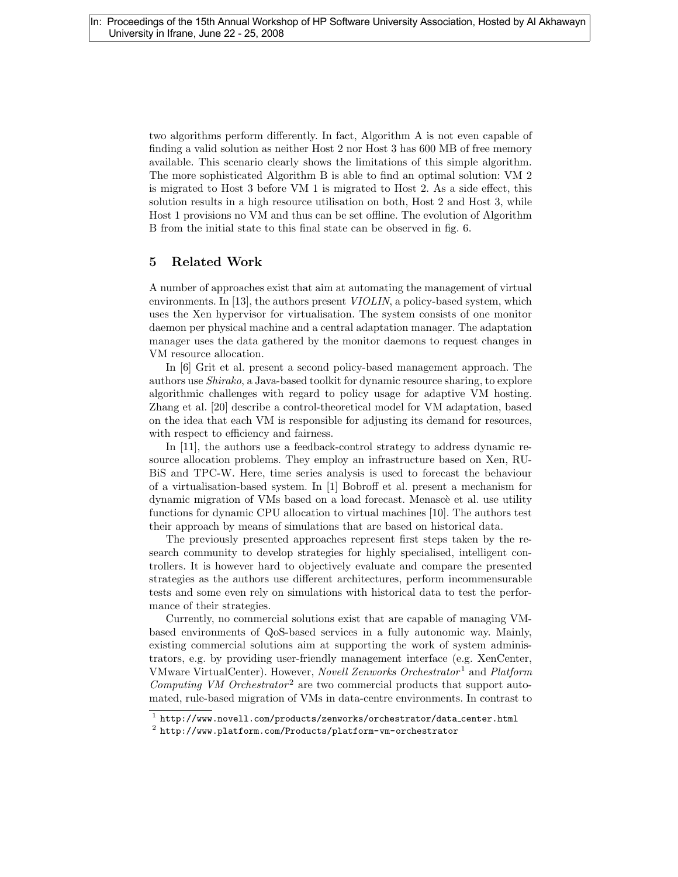two algorithms perform differently. In fact, Algorithm A is not even capable of finding a valid solution as neither Host 2 nor Host 3 has 600 MB of free memory available. This scenario clearly shows the limitations of this simple algorithm. The more sophisticated Algorithm B is able to find an optimal solution: VM 2 is migrated to Host 3 before VM 1 is migrated to Host 2. As a side effect, this solution results in a high resource utilisation on both, Host 2 and Host 3, while Host 1 provisions no VM and thus can be set offline. The evolution of Algorithm B from the initial state to this final state can be observed in fig. 6.

### 5 Related Work

A number of approaches exist that aim at automating the management of virtual environments. In [13], the authors present *VIOLIN*, a policy-based system, which uses the Xen hypervisor for virtualisation. The system consists of one monitor daemon per physical machine and a central adaptation manager. The adaptation manager uses the data gathered by the monitor daemons to request changes in VM resource allocation.

In [6] Grit et al. present a second policy-based management approach. The authors use Shirako, a Java-based toolkit for dynamic resource sharing, to explore algorithmic challenges with regard to policy usage for adaptive VM hosting. Zhang et al. [20] describe a control-theoretical model for VM adaptation, based on the idea that each VM is responsible for adjusting its demand for resources, with respect to efficiency and fairness.

In [11], the authors use a feedback-control strategy to address dynamic resource allocation problems. They employ an infrastructure based on Xen, RU-BiS and TPC-W. Here, time series analysis is used to forecast the behaviour of a virtualisation-based system. In [1] Bobroff et al. present a mechanism for dynamic migration of VMs based on a load forecast. Menascè et al. use utility functions for dynamic CPU allocation to virtual machines [10]. The authors test their approach by means of simulations that are based on historical data.

The previously presented approaches represent first steps taken by the research community to develop strategies for highly specialised, intelligent controllers. It is however hard to objectively evaluate and compare the presented strategies as the authors use different architectures, perform incommensurable tests and some even rely on simulations with historical data to test the performance of their strategies.

Currently, no commercial solutions exist that are capable of managing VMbased environments of QoS-based services in a fully autonomic way. Mainly, existing commercial solutions aim at supporting the work of system administrators, e.g. by providing user-friendly management interface (e.g. XenCenter, VMware VirtualCenter). However, Novell Zenworks Orchestrator<sup>1</sup> and Platform Computing VM Orchestrator<sup>2</sup> are two commercial products that support automated, rule-based migration of VMs in data-centre environments. In contrast to

 $^{\rm 1}$  http://www.novell.com/products/zenworks/orchestrator/data\_center.html

 $^2$  http://www.platform.com/Products/platform-vm-orchestrator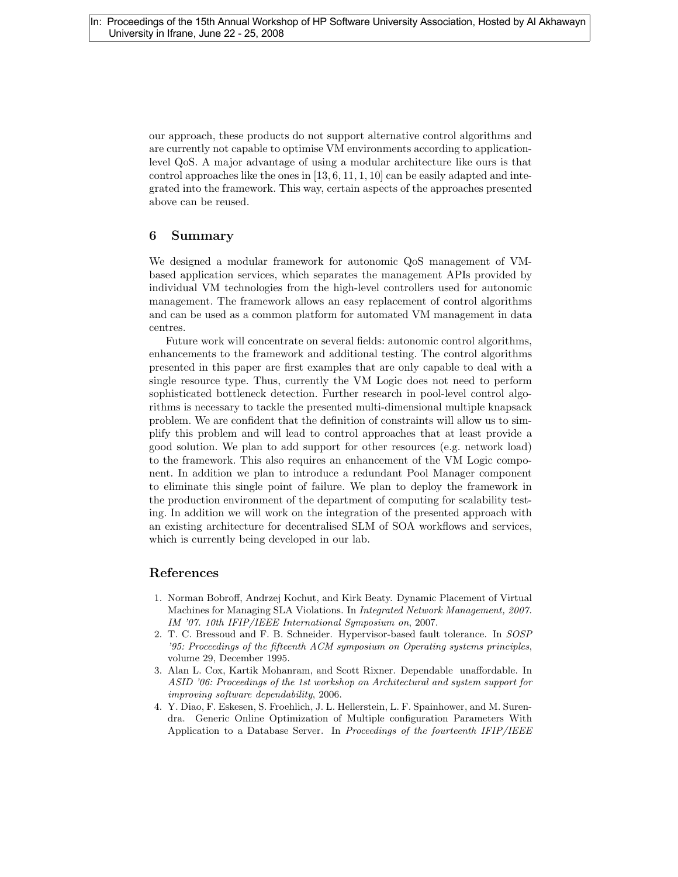our approach, these products do not support alternative control algorithms and are currently not capable to optimise VM environments according to applicationlevel QoS. A major advantage of using a modular architecture like ours is that control approaches like the ones in  $[13, 6, 11, 1, 10]$  can be easily adapted and integrated into the framework. This way, certain aspects of the approaches presented above can be reused.

### 6 Summary

We designed a modular framework for autonomic QoS management of VMbased application services, which separates the management APIs provided by individual VM technologies from the high-level controllers used for autonomic management. The framework allows an easy replacement of control algorithms and can be used as a common platform for automated VM management in data centres.

Future work will concentrate on several fields: autonomic control algorithms, enhancements to the framework and additional testing. The control algorithms presented in this paper are first examples that are only capable to deal with a single resource type. Thus, currently the VM Logic does not need to perform sophisticated bottleneck detection. Further research in pool-level control algorithms is necessary to tackle the presented multi-dimensional multiple knapsack problem. We are confident that the definition of constraints will allow us to simplify this problem and will lead to control approaches that at least provide a good solution. We plan to add support for other resources (e.g. network load) to the framework. This also requires an enhancement of the VM Logic component. In addition we plan to introduce a redundant Pool Manager component to eliminate this single point of failure. We plan to deploy the framework in the production environment of the department of computing for scalability testing. In addition we will work on the integration of the presented approach with an existing architecture for decentralised SLM of SOA workflows and services, which is currently being developed in our lab.

### References

- 1. Norman Bobroff, Andrzej Kochut, and Kirk Beaty. Dynamic Placement of Virtual Machines for Managing SLA Violations. In Integrated Network Management, 2007. IM '07. 10th IFIP/IEEE International Symposium on, 2007.
- 2. T. C. Bressoud and F. B. Schneider. Hypervisor-based fault tolerance. In SOSP '95: Proceedings of the fifteenth ACM symposium on Operating systems principles, volume 29, December 1995.
- 3. Alan L. Cox, Kartik Mohanram, and Scott Rixner. Dependable unaffordable. In ASID '06: Proceedings of the 1st workshop on Architectural and system support for improving software dependability, 2006.
- 4. Y. Diao, F. Eskesen, S. Froehlich, J. L. Hellerstein, L. F. Spainhower, and M. Surendra. Generic Online Optimization of Multiple configuration Parameters With Application to a Database Server. In Proceedings of the fourteenth IFIP/IEEE